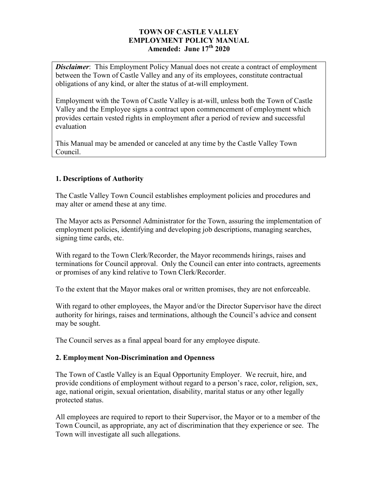### **TOWN OF CASTLE VALLEY EMPLOYMENT POLICY MANUAL Amended: June 17th 2020**

**Disclaimer**: This Employment Policy Manual does not create a contract of employment between the Town of Castle Valley and any of its employees, constitute contractual obligations of any kind, or alter the status of at-will employment.

Employment with the Town of Castle Valley is at-will, unless both the Town of Castle Valley and the Employee signs a contract upon commencement of employment which provides certain vested rights in employment after a period of review and successful evaluation

This Manual may be amended or canceled at any time by the Castle Valley Town Council.

### **1. Descriptions of Authority**

The Castle Valley Town Council establishes employment policies and procedures and may alter or amend these at any time.

The Mayor acts as Personnel Administrator for the Town, assuring the implementation of employment policies, identifying and developing job descriptions, managing searches, signing time cards, etc.

With regard to the Town Clerk/Recorder, the Mayor recommends hirings, raises and terminations for Council approval. Only the Council can enter into contracts, agreements or promises of any kind relative to Town Clerk/Recorder.

To the extent that the Mayor makes oral or written promises, they are not enforceable.

With regard to other employees, the Mayor and/or the Director Supervisor have the direct authority for hirings, raises and terminations, although the Council's advice and consent may be sought.

The Council serves as a final appeal board for any employee dispute.

### **2. Employment Non-Discrimination and Openness**

The Town of Castle Valley is an Equal Opportunity Employer. We recruit, hire, and provide conditions of employment without regard to a person's race, color, religion, sex, age, national origin, sexual orientation, disability, marital status or any other legally protected status.

All employees are required to report to their Supervisor, the Mayor or to a member of the Town Council, as appropriate, any act of discrimination that they experience or see. The Town will investigate all such allegations.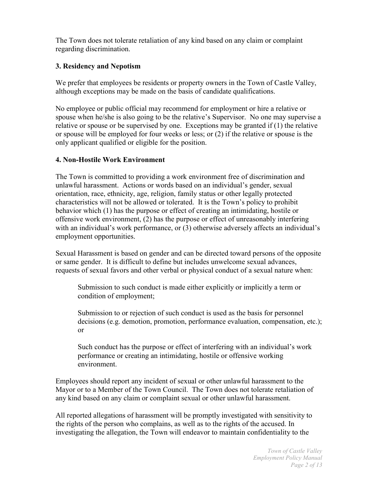The Town does not tolerate retaliation of any kind based on any claim or complaint regarding discrimination.

# **3. Residency and Nepotism**

We prefer that employees be residents or property owners in the Town of Castle Valley, although exceptions may be made on the basis of candidate qualifications.

No employee or public official may recommend for employment or hire a relative or spouse when he/she is also going to be the relative's Supervisor. No one may supervise a relative or spouse or be supervised by one. Exceptions may be granted if (1) the relative or spouse will be employed for four weeks or less; or (2) if the relative or spouse is the only applicant qualified or eligible for the position.

### **4. Non-Hostile Work Environment**

The Town is committed to providing a work environment free of discrimination and unlawful harassment. Actions or words based on an individual's gender, sexual orientation, race, ethnicity, age, religion, family status or other legally protected characteristics will not be allowed or tolerated. It is the Town's policy to prohibit behavior which (1) has the purpose or effect of creating an intimidating, hostile or offensive work environment, (2) has the purpose or effect of unreasonably interfering with an individual's work performance, or (3) otherwise adversely affects an individual's employment opportunities.

Sexual Harassment is based on gender and can be directed toward persons of the opposite or same gender. It is difficult to define but includes unwelcome sexual advances, requests of sexual favors and other verbal or physical conduct of a sexual nature when:

Submission to such conduct is made either explicitly or implicitly a term or condition of employment;

Submission to or rejection of such conduct is used as the basis for personnel decisions (e.g. demotion, promotion, performance evaluation, compensation, etc.); or

Such conduct has the purpose or effect of interfering with an individual's work performance or creating an intimidating, hostile or offensive working environment.

Employees should report any incident of sexual or other unlawful harassment to the Mayor or to a Member of the Town Council. The Town does not tolerate retaliation of any kind based on any claim or complaint sexual or other unlawful harassment.

All reported allegations of harassment will be promptly investigated with sensitivity to the rights of the person who complains, as well as to the rights of the accused. In investigating the allegation, the Town will endeavor to maintain confidentiality to the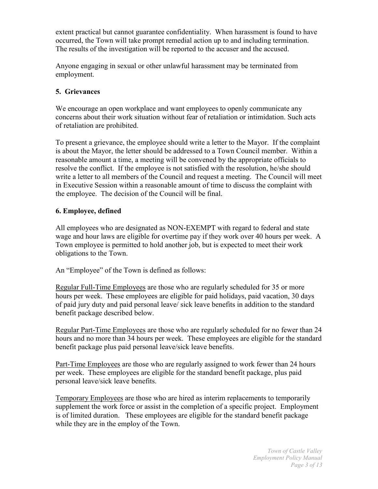extent practical but cannot guarantee confidentiality. When harassment is found to have occurred, the Town will take prompt remedial action up to and including termination. The results of the investigation will be reported to the accuser and the accused.

Anyone engaging in sexual or other unlawful harassment may be terminated from employment.

## **5. Grievances**

We encourage an open workplace and want employees to openly communicate any concerns about their work situation without fear of retaliation or intimidation. Such acts of retaliation are prohibited.

To present a grievance, the employee should write a letter to the Mayor. If the complaint is about the Mayor, the letter should be addressed to a Town Council member. Within a reasonable amount a time, a meeting will be convened by the appropriate officials to resolve the conflict. If the employee is not satisfied with the resolution, he/she should write a letter to all members of the Council and request a meeting. The Council will meet in Executive Session within a reasonable amount of time to discuss the complaint with the employee. The decision of the Council will be final.

## **6. Employee, defined**

All employees who are designated as NON-EXEMPT with regard to federal and state wage and hour laws are eligible for overtime pay if they work over 40 hours per week. A Town employee is permitted to hold another job, but is expected to meet their work obligations to the Town.

An "Employee" of the Town is defined as follows:

Regular Full-Time Employees are those who are regularly scheduled for 35 or more hours per week. These employees are eligible for paid holidays, paid vacation, 30 days of paid jury duty and paid personal leave/ sick leave benefits in addition to the standard benefit package described below.

Regular Part-Time Employees are those who are regularly scheduled for no fewer than 24 hours and no more than 34 hours per week. These employees are eligible for the standard benefit package plus paid personal leave/sick leave benefits.

Part-Time Employees are those who are regularly assigned to work fewer than 24 hours per week. These employees are eligible for the standard benefit package, plus paid personal leave/sick leave benefits.

Temporary Employees are those who are hired as interim replacements to temporarily supplement the work force or assist in the completion of a specific project. Employment is of limited duration. These employees are eligible for the standard benefit package while they are in the employ of the Town.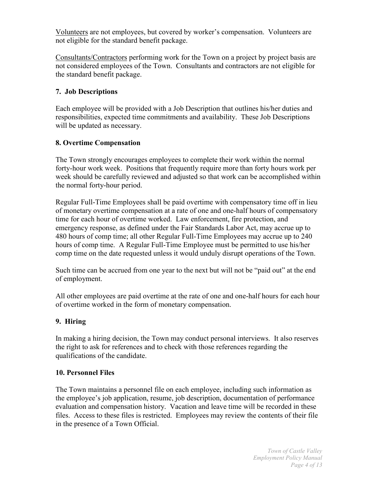Volunteers are not employees, but covered by worker's compensation. Volunteers are not eligible for the standard benefit package.

Consultants/Contractors performing work for the Town on a project by project basis are not considered employees of the Town. Consultants and contractors are not eligible for the standard benefit package.

### **7. Job Descriptions**

Each employee will be provided with a Job Description that outlines his/her duties and responsibilities, expected time commitments and availability. These Job Descriptions will be updated as necessary.

### **8. Overtime Compensation**

The Town strongly encourages employees to complete their work within the normal forty-hour work week. Positions that frequently require more than forty hours work per week should be carefully reviewed and adjusted so that work can be accomplished within the normal forty-hour period.

Regular Full-Time Employees shall be paid overtime with compensatory time off in lieu of monetary overtime compensation at a rate of one and one-half hours of compensatory time for each hour of overtime worked. Law enforcement, fire protection, and emergency response, as defined under the Fair Standards Labor Act, may accrue up to 480 hours of comp time; all other Regular Full-Time Employees may accrue up to 240 hours of comp time. A Regular Full-Time Employee must be permitted to use his/her comp time on the date requested unless it would unduly disrupt operations of the Town.

Such time can be accrued from one year to the next but will not be "paid out" at the end of employment.

All other employees are paid overtime at the rate of one and one-half hours for each hour of overtime worked in the form of monetary compensation.

# **9. Hiring**

In making a hiring decision, the Town may conduct personal interviews. It also reserves the right to ask for references and to check with those references regarding the qualifications of the candidate.

### **10. Personnel Files**

The Town maintains a personnel file on each employee, including such information as the employee's job application, resume, job description, documentation of performance evaluation and compensation history. Vacation and leave time will be recorded in these files. Access to these files is restricted. Employees may review the contents of their file in the presence of a Town Official.

> *Town of Castle Valley Employment Policy Manual Page 4 of 13*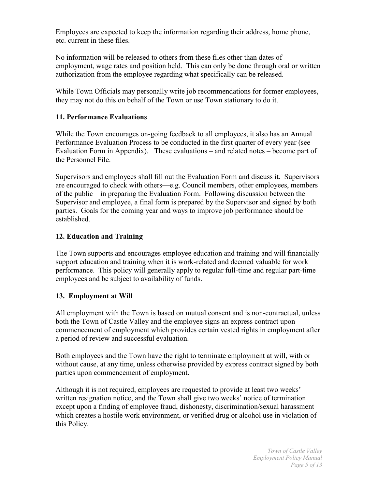Employees are expected to keep the information regarding their address, home phone, etc. current in these files.

No information will be released to others from these files other than dates of employment, wage rates and position held. This can only be done through oral or written authorization from the employee regarding what specifically can be released.

While Town Officials may personally write job recommendations for former employees, they may not do this on behalf of the Town or use Town stationary to do it.

## **11. Performance Evaluations**

While the Town encourages on-going feedback to all employees, it also has an Annual Performance Evaluation Process to be conducted in the first quarter of every year (see Evaluation Form in Appendix). These evaluations – and related notes – become part of the Personnel File.

Supervisors and employees shall fill out the Evaluation Form and discuss it. Supervisors are encouraged to check with others—e.g. Council members, other employees, members of the public—in preparing the Evaluation Form. Following discussion between the Supervisor and employee, a final form is prepared by the Supervisor and signed by both parties. Goals for the coming year and ways to improve job performance should be established.

## **12. Education and Training**

The Town supports and encourages employee education and training and will financially support education and training when it is work-related and deemed valuable for work performance. This policy will generally apply to regular full-time and regular part-time employees and be subject to availability of funds.

### **13. Employment at Will**

All employment with the Town is based on mutual consent and is non-contractual, unless both the Town of Castle Valley and the employee signs an express contract upon commencement of employment which provides certain vested rights in employment after a period of review and successful evaluation.

Both employees and the Town have the right to terminate employment at will, with or without cause, at any time, unless otherwise provided by express contract signed by both parties upon commencement of employment.

Although it is not required, employees are requested to provide at least two weeks' written resignation notice, and the Town shall give two weeks' notice of termination except upon a finding of employee fraud, dishonesty, discrimination/sexual harassment which creates a hostile work environment, or verified drug or alcohol use in violation of this Policy.

> *Town of Castle Valley Employment Policy Manual Page 5 of 13*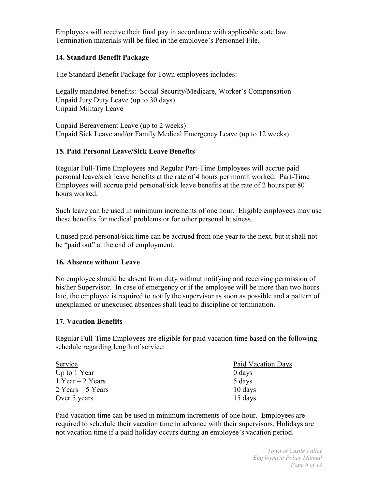Employees will receive their final pay in accordance with applicable state law. Termination materials will be filed in the employee's Personnel File.

### **14. Standard Benefit Package**

The Standard Benefit Package for Town employees includes:

Legally mandated benefits: Social Security/Medicare, Worker's Compensation Unpaid Jury Duty Leave (up to 30 days) Unpaid Military Leave

Unpaid Bereavement Leave (up to 2 weeks) Unpaid Sick Leave and/or Family Medical Emergency Leave (up to 12 weeks)

## **15. Paid Personal Leave/Sick Leave Benefits**

Regular Full-Time Employees and Regular Part-Time Employees will accrue paid personal leave/sick leave benefits at the rate of 4 hours per month worked. Part-Time Employees will accrue paid personal/sick leave benefits at the rate of 2 hours per 80 hours worked.

Such leave can be used in minimum increments of one hour. Eligible employees may use these benefits for medical problems or for other personal business.

Unused paid personal/sick time can be accrued from one year to the next, but it shall not be "paid out" at the end of employment.

### **16. Absence without Leave**

No employee should be absent from duty without notifying and receiving permission of his/her Supervisor. In case of emergency or if the employee will be more than two hours late, the employee is required to notify the supervisor as soon as possible and a pattern of unexplained or unexcused absences shall lead to discipline or termination.

# **17. Vacation Benefits**

Regular Full-Time Employees are eligible for paid vacation time based on the following schedule regarding length of service:

| Service              | Paid Vacation Days |  |  |
|----------------------|--------------------|--|--|
| Up to 1 Year         | 0 days             |  |  |
| 1 Year $-$ 2 Years   | 5 days             |  |  |
| $2$ Years $-5$ Years | 10 days            |  |  |
| Over 5 years         | 15 days            |  |  |

Paid vacation time can be used in minimum increments of one hour. Employees are required to schedule their vacation time in advance with their supervisors. Holidays are not vacation time if a paid holiday occurs during an employee's vacation period.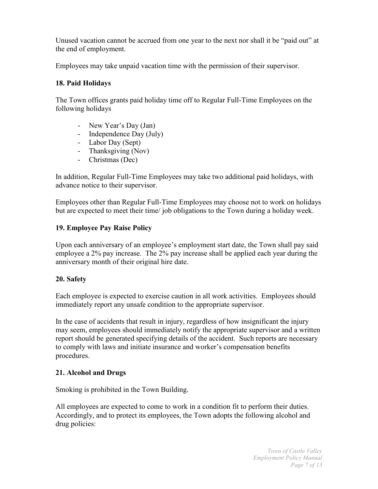Unused vacation cannot be accrued from one year to the next nor shall it be "paid out" at the end of employment.

Employees may take unpaid vacation time with the permission of their supervisor.

# **18. Paid Holidays**

The Town offices grants paid holiday time off to Regular Full-Time Employees on the following holidays

- New Year's Day (Jan)
- Independence Day (July)
- Labor Day (Sept)
- Thanksgiving (Nov)
- Christmas (Dec)

In addition, Regular Full-Time Employees may take two additional paid holidays, with advance notice to their supervisor.

Employees other than Regular Full-Time Employees may choose not to work on holidays but are expected to meet their time/ job obligations to the Town during a holiday week.

## **19. Employee Pay Raise Policy**

Upon each anniversary of an employee's employment start date, the Town shall pay said employee a 2% pay increase. The 2% pay increase shall be applied each year during the anniversary month of their original hire date.

# **20. Safety**

Each employee is expected to exercise caution in all work activities. Employees should immediately report any unsafe condition to the appropriate supervisor.

In the case of accidents that result in injury, regardless of how insignificant the injury may seem, employees should immediately notify the appropriate supervisor and a written report should be generated specifying details of the accident. Such reports are necessary to comply with laws and initiate insurance and worker's compensation benefits procedures.

# **21. Alcohol and Drugs**

Smoking is prohibited in the Town Building.

All employees are expected to come to work in a condition fit to perform their duties. Accordingly, and to protect its employees, the Town adopts the following alcohol and drug policies: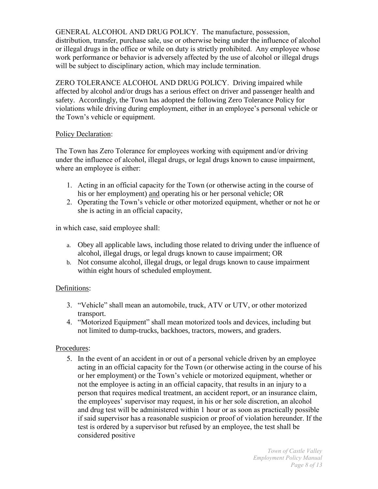GENERAL ALCOHOL AND DRUG POLICY. The manufacture, possession, distribution, transfer, purchase sale, use or otherwise being under the influence of alcohol or illegal drugs in the office or while on duty is strictly prohibited. Any employee whose work performance or behavior is adversely affected by the use of alcohol or illegal drugs will be subject to disciplinary action, which may include termination.

ZERO TOLERANCE ALCOHOL AND DRUG POLICY. Driving impaired while affected by alcohol and/or drugs has a serious effect on driver and passenger health and safety. Accordingly, the Town has adopted the following Zero Tolerance Policy for violations while driving during employment, either in an employee's personal vehicle or the Town's vehicle or equipment.

### Policy Declaration:

The Town has Zero Tolerance for employees working with equipment and/or driving under the influence of alcohol, illegal drugs, or legal drugs known to cause impairment, where an employee is either:

- 1. Acting in an official capacity for the Town (or otherwise acting in the course of his or her employment) and operating his or her personal vehicle; OR
- 2. Operating the Town's vehicle or other motorized equipment, whether or not he or she is acting in an official capacity,

in which case, said employee shall:

- a. Obey all applicable laws, including those related to driving under the influence of alcohol, illegal drugs, or legal drugs known to cause impairment; OR
- b. Not consume alcohol, illegal drugs, or legal drugs known to cause impairment within eight hours of scheduled employment.

#### Definitions:

- 3. "Vehicle" shall mean an automobile, truck, ATV or UTV, or other motorized transport.
- 4. "Motorized Equipment" shall mean motorized tools and devices, including but not limited to dump-trucks, backhoes, tractors, mowers, and graders.

#### Procedures:

5. In the event of an accident in or out of a personal vehicle driven by an employee acting in an official capacity for the Town (or otherwise acting in the course of his or her employment) or the Town's vehicle or motorized equipment, whether or not the employee is acting in an official capacity, that results in an injury to a person that requires medical treatment, an accident report, or an insurance claim, the employees' supervisor may request, in his or her sole discretion, an alcohol and drug test will be administered within 1 hour or as soon as practically possible if said supervisor has a reasonable suspicion or proof of violation hereunder. If the test is ordered by a supervisor but refused by an employee, the test shall be considered positive

> *Town of Castle Valley Employment Policy Manual Page 8 of 13*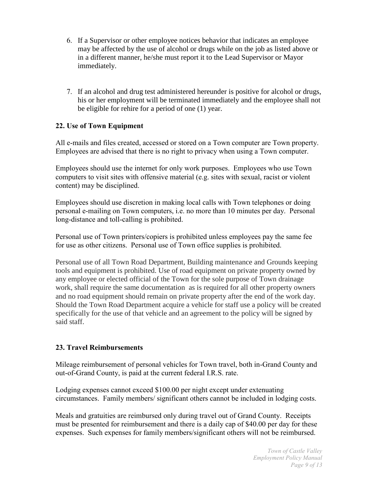- 6. If a Supervisor or other employee notices behavior that indicates an employee may be affected by the use of alcohol or drugs while on the job as listed above or in a different manner, he/she must report it to the Lead Supervisor or Mayor immediately.
- 7. If an alcohol and drug test administered hereunder is positive for alcohol or drugs, his or her employment will be terminated immediately and the employee shall not be eligible for rehire for a period of one (1) year.

# **22. Use of Town Equipment**

All e-mails and files created, accessed or stored on a Town computer are Town property. Employees are advised that there is no right to privacy when using a Town computer.

Employees should use the internet for only work purposes. Employees who use Town computers to visit sites with offensive material (e.g. sites with sexual, racist or violent content) may be disciplined.

Employees should use discretion in making local calls with Town telephones or doing personal e-mailing on Town computers, i.e. no more than 10 minutes per day. Personal long-distance and toll-calling is prohibited.

Personal use of Town printers/copiers is prohibited unless employees pay the same fee for use as other citizens. Personal use of Town office supplies is prohibited.

Personal use of all Town Road Department, Building maintenance and Grounds keeping tools and equipment is prohibited. Use of road equipment on private property owned by any employee or elected official of the Town for the sole purpose of Town drainage work, shall require the same documentation as is required for all other property owners and no road equipment should remain on private property after the end of the work day. Should the Town Road Department acquire a vehicle for staff use a policy will be created specifically for the use of that vehicle and an agreement to the policy will be signed by said staff.

# **23. Travel Reimbursements**

Mileage reimbursement of personal vehicles for Town travel, both in-Grand County and out-of-Grand County, is paid at the current federal I.R.S. rate.

Lodging expenses cannot exceed \$100.00 per night except under extenuating circumstances. Family members/ significant others cannot be included in lodging costs.

Meals and gratuities are reimbursed only during travel out of Grand County. Receipts must be presented for reimbursement and there is a daily cap of \$40.00 per day for these expenses. Such expenses for family members/significant others will not be reimbursed.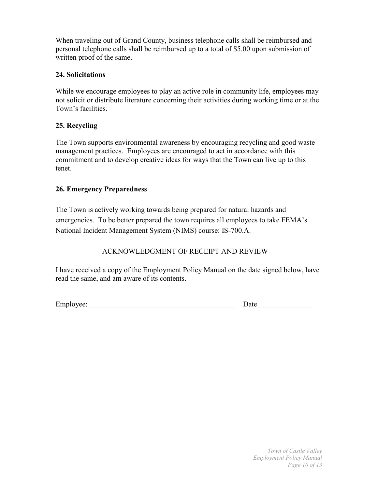When traveling out of Grand County, business telephone calls shall be reimbursed and personal telephone calls shall be reimbursed up to a total of \$5.00 upon submission of written proof of the same.

## **24. Solicitations**

While we encourage employees to play an active role in community life, employees may not solicit or distribute literature concerning their activities during working time or at the Town's facilities.

# **25. Recycling**

The Town supports environmental awareness by encouraging recycling and good waste management practices. Employees are encouraged to act in accordance with this commitment and to develop creative ideas for ways that the Town can live up to this tenet.

## **26. Emergency Preparedness**

The Town is actively working towards being prepared for natural hazards and emergencies. To be better prepared the town requires all employees to take FEMA's National Incident Management System (NIMS) course: IS-700.A.

# ACKNOWLEDGMENT OF RECEIPT AND REVIEW

I have received a copy of the Employment Policy Manual on the date signed below, have read the same, and am aware of its contents.

Employee: Date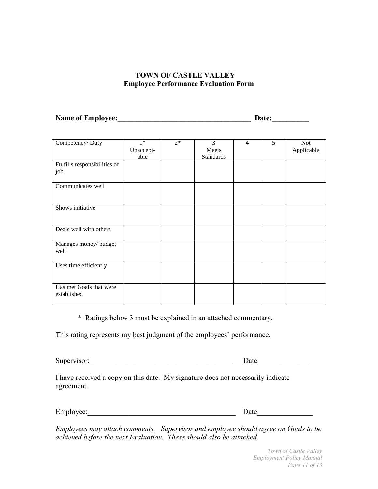### **TOWN OF CASTLE VALLEY Employee Performance Evaluation Form**

**Name of Employee:\_\_\_\_\_\_\_\_\_\_\_\_\_\_\_\_\_\_\_\_\_\_\_\_\_\_\_\_\_\_\_\_\_\_\_\_ Date:\_\_\_\_\_\_\_\_\_\_**

| Competency/Duty              | $1*$      | $2*$ | 3                | $\overline{4}$ | 5 | <b>Not</b> |
|------------------------------|-----------|------|------------------|----------------|---|------------|
|                              | Unaccept- |      | Meets            |                |   | Applicable |
|                              | able      |      | <b>Standards</b> |                |   |            |
|                              |           |      |                  |                |   |            |
| Fulfills responsibilities of |           |      |                  |                |   |            |
| job                          |           |      |                  |                |   |            |
|                              |           |      |                  |                |   |            |
|                              |           |      |                  |                |   |            |
| Communicates well            |           |      |                  |                |   |            |
|                              |           |      |                  |                |   |            |
|                              |           |      |                  |                |   |            |
| Shows initiative             |           |      |                  |                |   |            |
|                              |           |      |                  |                |   |            |
|                              |           |      |                  |                |   |            |
|                              |           |      |                  |                |   |            |
| Deals well with others       |           |      |                  |                |   |            |
|                              |           |      |                  |                |   |            |
|                              |           |      |                  |                |   |            |
| Manages money/ budget        |           |      |                  |                |   |            |
| well                         |           |      |                  |                |   |            |
|                              |           |      |                  |                |   |            |
|                              |           |      |                  |                |   |            |
| Uses time efficiently        |           |      |                  |                |   |            |
|                              |           |      |                  |                |   |            |
|                              |           |      |                  |                |   |            |
| Has met Goals that were      |           |      |                  |                |   |            |
|                              |           |      |                  |                |   |            |
| established                  |           |      |                  |                |   |            |
|                              |           |      |                  |                |   |            |

\* Ratings below 3 must be explained in an attached commentary.

This rating represents my best judgment of the employees' performance.

Supervisor:\_\_\_\_\_\_\_\_\_\_\_\_\_\_\_\_\_\_\_\_\_\_\_\_\_\_\_\_\_\_\_\_\_\_\_\_\_\_\_ Date\_\_\_\_\_\_\_\_\_\_\_\_\_\_

I have received a copy on this date. My signature does not necessarily indicate agreement.

Employee:\_\_\_\_\_\_\_\_\_\_\_\_\_\_\_\_\_\_\_\_\_\_\_\_\_\_\_\_\_\_\_\_\_\_\_\_\_\_\_\_ Date\_\_\_\_\_\_\_\_\_\_\_\_\_\_\_

*Employees may attach comments. Supervisor and employee should agree on Goals to be achieved before the next Evaluation. These should also be attached.*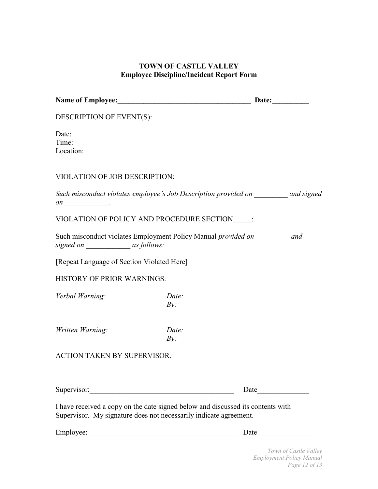# **TOWN OF CASTLE VALLEY Employee Discipline/Incident Report Form**

| Name of Employee: Date: Date:                                                                                                                        |                                                                                      |  |  |  |
|------------------------------------------------------------------------------------------------------------------------------------------------------|--------------------------------------------------------------------------------------|--|--|--|
| DESCRIPTION OF EVENT(S):                                                                                                                             |                                                                                      |  |  |  |
| Date:<br>Time:<br>Location:                                                                                                                          |                                                                                      |  |  |  |
| <b>VIOLATION OF JOB DESCRIPTION:</b>                                                                                                                 |                                                                                      |  |  |  |
| Such misconduct violates employee's Job Description provided on _________ and signed                                                                 |                                                                                      |  |  |  |
| VIOLATION OF POLICY AND PROCEDURE SECTION :                                                                                                          |                                                                                      |  |  |  |
| Such misconduct violates Employment Policy Manual <i>provided on</i> and<br>signed on ____________________ as follows:                               |                                                                                      |  |  |  |
| [Repeat Language of Section Violated Here]                                                                                                           |                                                                                      |  |  |  |
| <b>HISTORY OF PRIOR WARNINGS:</b>                                                                                                                    |                                                                                      |  |  |  |
| Verbal Warning:                                                                                                                                      | Date:<br>By:                                                                         |  |  |  |
| Written Warning:                                                                                                                                     | Date:<br>By:                                                                         |  |  |  |
| <b>ACTION TAKEN BY SUPERVISOR:</b>                                                                                                                   |                                                                                      |  |  |  |
|                                                                                                                                                      |                                                                                      |  |  |  |
| Supervisor:                                                                                                                                          | Date                                                                                 |  |  |  |
| I have received a copy on the date signed below and discussed its contents with<br>Supervisor. My signature does not necessarily indicate agreement. |                                                                                      |  |  |  |
| Employee:                                                                                                                                            | Date<br><u> 1980 - Jan Barbara, martin da kasar Amerikaan dan Barbara (j. 1980).</u> |  |  |  |

*Town of Castle Valley Employment Policy Manual Page 12 of 13*